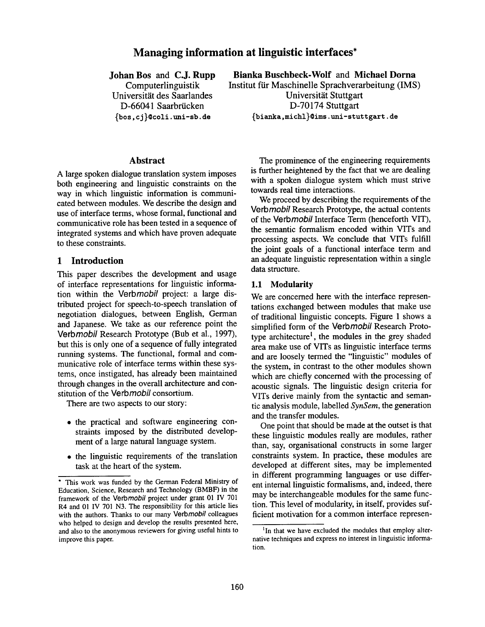# **Managing information at linguistic interfaces\***

**Johan Bos and C.J. Rupp** 

**Computerlinguistik Universität des Saarlandes** D-66041 Saarbrücken {bos, cj }@toll. uni-sb, **de** 

**Abstract** 

A large spoken dialogue translation system imposes both engineering and linguistic constraints on the way in which linguistic information is communicated between modules. We describe the design and use of interface terms, whose formal, functional and communicative role has been tested in a sequence of integrated systems and which have proven adequate to these constraints.

### **1 Introduction**

This paper describes the development and usage of interface representations for linguistic information within the Verbmobil project: a large distributed project for speech-to-speech translation of negotiation dialogues, between English, German and Japanese. We take as our reference point the *Verbmobil* Research Prototype (Bub et al., 1997), but this is only one of a sequence of fully integrated running systems. The functional, formal and communicative role of interface terms within these systems, once instigated, has already been maintained through changes in the overall architecture and constitution of the **Verbmobil** consortium.

There are two aspects to our story:

- the practical and software engineering constraints imposed by the distributed development of a large natural language system.
- the linguistic requirements of the translation task at the heart of the system.

**Bianka Buschbeck-Wolf and Michael Dorna** 

**Institut für Maschinelle Sprachverarbeitung (IMS) Universität Stuttgart D-70174** Stuttgart {bianka, michl}@ims, uni-sl;utl;gart, **de** 

> The prominence of the engineering requirements is further heightened by the fact that we are dealing with a spoken dialogue system which must strive towards real time interactions.

> We proceed by describing the requirements of the *Vorbmobi!* Research Prototype, the actual contents of the *Verbmobil* Interface Term (henceforth VIT), the semantic formalism encoded within VITs and processing aspects. We conclude that VITs fulfill the joint goals of a functional interface term and an adequate linguistic representation within a single data structure.

#### 1.1 **Modularity**

We are concerned here with the interface representations exchanged between modules that make use of traditional linguistic concepts. Figure 1 shows a simplified form of the *Verbmobi!* Research Prototype architecture<sup>1</sup>, the modules in the grey shaded area make use of VITs as linguistic interface terms and are loosely termed the "linguistic" modules of the system, in contrast to the other modules shown which are chiefly concerned with the processing of acoustic signals. The linguistic design criteria for VITs derive mainly from the syntactic and semantic analysis module, labelled *SynSem,* the generation and the transfer modules.

One point that should be made at the outset is that these linguistic modules really are modules, rather than, say, organisational constructs in some larger constraints system. In practice, these modules are developed at different sites, may be implemented in different programming languages or use different internal linguistic formalisms, and, indeed, there may be interchangeable modules for the same function. This level of modularity, in itself, provides sufficient motivation for a common interface represen-

<sup>°</sup> This work was funded by the German Federal Ministry of Education, Science, Research and Technology (BMBF) in the framework of the *Vorbmobil* project under grant 01 IV 701 R4 and 01 IV 701 N3. The responsibility for this article lies with the authors. Thanks to our many *Vorbmobil* colleagues who helped to design and develop the results presented here, and also to the anonymous reviewers for giving useful hints to improve this paper.

<sup>&</sup>lt;sup>1</sup>In that we have excluded the modules that employ alternative techniques and express no interest in linguistic information.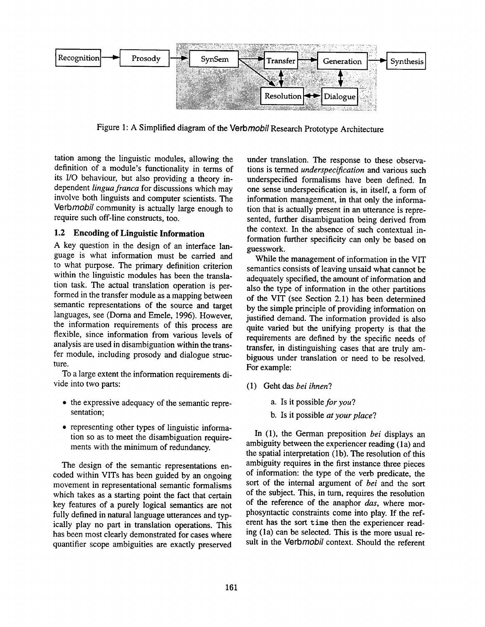

Figure 1: A Simplified diagram of the Verbmobil Research Prototype Architecture

tation among the linguistic modules, allowing the definition of a module's functionality in terms of its I/O behaviour, but also providing a theory independent *lingua franca* for discussions which may involve both linguists and computer scientists. The Verb*mobil* community is actually large enough to require such off-line constructs, too.

## **1.2 Encoding of Linguistic Information**

A key question in the design of an interface language is what information must be carried and to what purpose. The primary definition criterion within the linguistic modules has been the translation task. The actual translation operation is performed in the transfer module as a mapping between semantic representations of the source and target languages, see (Dorna and Emele, 1996). However, the information requirements of this process are flexible, since information from various levels of analysis are used in disambiguation within the transfer module, including prosody and dialogue structure.

To a large extent the information requirements divide into two parts:

- the expressive adequacy of the semantic representation;
- representing other types of linguistic information so as to meet the disambiguation requirements with the minimum of redundancy.

The design of the semantic representations encoded within VITs has been guided by an ongoing movement in representational semantic formalisms which takes as a starting point the fact that certain key features of a purely logical semantics are not fully defined in natural language utterances and typically play no part in translation operations. This has been most clearly demonstrated for cases where quantifier scope ambiguities are exactly preserved

under translation. The response to these observations is termed *underspecification* and various such underspecified formalisms have been defined. In one sense underspecification is, in itself, a form of information management, in that only the information that is actually present in an utterance is represented, further disambiguation being derived from the context. In the absence of such contextual information further specificity can only be based on guesswork.

While the management of information in the VIT semantics consists of leaving unsaid what cannot be adequately specified, the amount of information and also the type of information in the other partitions of the VIT (see Section 2.1) has been determined by the simple principle of providing information on justified demand. The information provided is also quite varied but the unifying property is that the requirements are defined by the specific needs of transfer, in distinguishing cases that are truly ambiguous under translation or need to be resolved. For example:

- (1) Geht das *bei ihnen?* 
	- a. Is it *possible for you?*
	- b. Is it possible *at your place?*

In (1), the German preposition *bei* displays an ambiguity between the experiencer reading (1a) and the spatial interpretation (lb). The resolution of this ambiguity requires in the first instance three pieces of information: the type of the verb predicate, the sort of the internal argument of *bei* and the sort of the subject. This, in turn, requires the resolution of the reference of the anaphor *das,* where morphosyntactic constraints come into play. If the referent has the sort time then the experiencer reading (la) can be selected. This is the more usual result in the *Verbmobil* context. Should the referent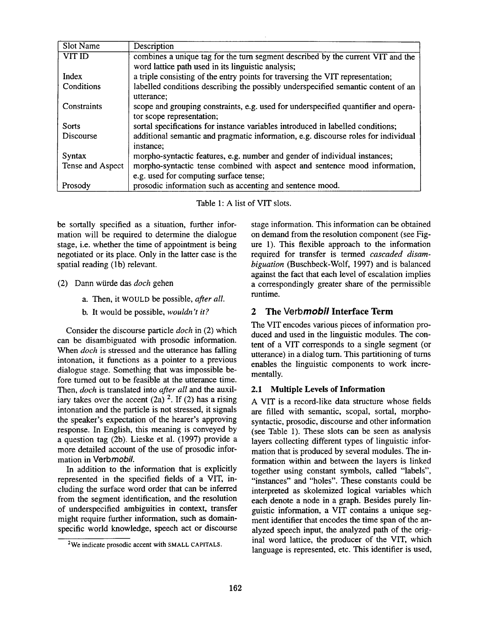| Slot Name        | Description                                                                        |  |  |
|------------------|------------------------------------------------------------------------------------|--|--|
| VIT ID           | combines a unique tag for the turn segment described by the current VIT and the    |  |  |
|                  | word lattice path used in its linguistic analysis;                                 |  |  |
| Index            | a triple consisting of the entry points for traversing the VIT representation;     |  |  |
| Conditions       | labelled conditions describing the possibly underspecified semantic content of an  |  |  |
|                  | utterance:                                                                         |  |  |
| Constraints      | scope and grouping constraints, e.g. used for underspecified quantifier and opera- |  |  |
|                  | tor scope representation;                                                          |  |  |
| Sorts            | sortal specifications for instance variables introduced in labelled conditions;    |  |  |
| Discourse        | additional semantic and pragmatic information, e.g. discourse roles for individual |  |  |
|                  | instance;                                                                          |  |  |
| Syntax           | morpho-syntactic features, e.g. number and gender of individual instances;         |  |  |
| Tense and Aspect | morpho-syntactic tense combined with aspect and sentence mood information,         |  |  |
|                  | e.g. used for computing surface tense;                                             |  |  |
| Prosody          | prosodic information such as accenting and sentence mood.                          |  |  |

Table 1: A list of VIT slots.

be sortally specified as a situation, further information will be required to determine the dialogue stage, i.e. whether the time of appointment is being negotiated or its place. Only in the latter case is the spatial reading (1b) relevant.

- (2) Dann wiirde das *doch* gehen
	- a. Then, it WOULD be possible, *after all.*
	- b. It would be possible, *wouldn't it?*

Consider the discourse particle *doch* in (2) which can be disambiguated with prosodic information. When *doch* is stressed and the utterance has falling intonation, it functions as a pointer to a previous dialogue stage. Something that was impossible before turned out to be feasible at the utterance time. Then, *doch* is translated into *after all* and the auxiliary takes over the accent  $(2a)$  <sup>2</sup>. If (2) has a rising intonation and the particle is not stressed, it signals the speaker's expectation of the hearer's approving response. In English, this meaning is conveyed by a question tag (2b). Lieske et al. (1997) provide a more detailed account of the use of prosodic information in *Verbmobil.* 

In addition to the information that is explicitly represented in the specified fields of a VIT, including the surface word order that can be inferred from the segment identification, and the resolution of underspecified ambiguities in context, transfer might require further information, such as domainspecific world knowledge, speech act or discourse stage information. This information can be obtained on demand from the resolution component (see Figure 1). This flexible approach to the information required for transfer is termed *cascaded disambiguation* (Buschbeck-Wolf, 1997) and is balanced against the fact that each level of escalation implies a correspondingly greater share of the permissible runtime.

# 2 The *Verbmobil* **Interface Term**

The VIT encodes various pieces of information produced and used in the linguistic modules. The content of a VIT corresponds to a single segment (or utterance) in a dialog turn. This partitioning of turns enables the linguistic components to work incrementally.

## 2.1 Multiple Levels of Information

A VIT is a record-like data structure whose fields are filled with semantic, scopal, sortal, morphosyntactic, prosodic, discourse and other information (see Table 1). These slots can be seen as analysis layers collecting different types of linguistic information that is produced by several modules. The information within and between the layers is linked together using constant symbols, called "labels", "instances" and "holes". These constants could be interpreted as skolemized logical variables which each denote a node in a graph. Besides purely linguistic information, a VIT contains a unique segment identifier that encodes the time span of the analyzed speech input, the analyzed path of the original word lattice, the producer of the VIT, which language is represented, etc. This identifier is used,

<sup>2</sup>We indicate prosodic accent with SMALL CAPITALS.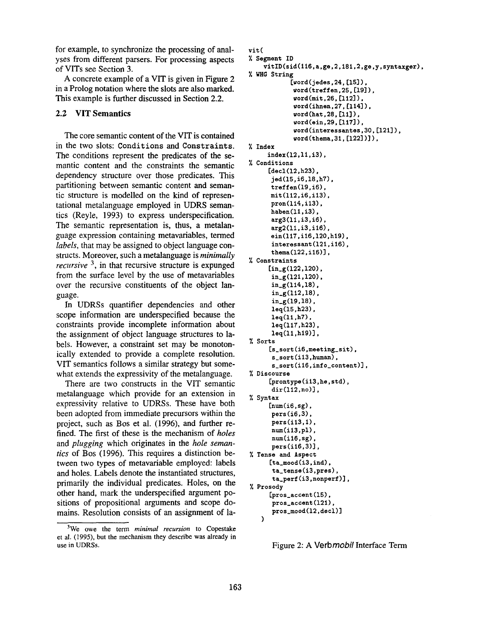for example, to synchronize the processing of analyses from different parsers. For processing aspects of VITs see Section 3.

A concrete example of a VIT is given in Figure 2 in a Prolog notation where the slots are also marked. This example is further discussed in Section 2.2.

## **2.2 VIT Semantics**

The core semantic content of the VIT is contained in the two slots: Conditions and Constraints. The conditions represent the predicates of the semantic content and the constraints the semantic dependency structure over those predicates. This partitioning between semantic content and semantic structure is modelled on the kind of representational metalanguage employed in UDRS semantics (Reyle, 1993) to express underspecification. The semantic representation is, thus, a metalanguage expression containing metavariables, termed *labels,* that may be assigned to object language constructs. Moreover, such a metalanguage is *minimally recursive*<sup>3</sup>, in that recursive structure is expunged from the surface level by the use of metavariables over the recursive constituents of the object language.

In UDRSs quantifier dependencies and other scope information are underspecified because the constraints provide incomplete information about the assignment of object language structures to labels. However, a constraint set may be monotonically extended to provide a complete resolution. VIT semantics follows a similar strategy but somewhat extends the expressivity of the metalanguage.

There are two constructs in the VIT semantic metalanguage which provide for an extension in expressivity relative to UDRSs. These have both been adopted from immediate precursors within the project, such as Bos et al. (1996), and further refined. The first of these is the mechanism of *holes*  and *plugging* which originates in the *hole semantics* of Bos (1996). This requires a distinction between two types of metavariable employed: labels and holes. Labels denote the instantiated structures, primarily the individual predicates. Holes, on the other hand, mark the underspecified argument positions of propositional arguments and scope domains. Resolution consists of an assignment of la-

```
vit( 
X Segment ID 
    vitID(sid(ll6.a.ge.2.181.2.ge.y.syntaxger). 
% WHG String
            [word(jedes.24.[15]).
             word(treffen.25.[19]). 
             word(mit.26.[112]). 
             word(ihnen.27.[114]). 
             word(hat.28.[ll]). 
             ,ord(ein.29.[117]). 
             word(interessantes.30.[121]). 
             word(thema, 31, [122])]),
X Index 
     index(12.11.i3). 
Conditions 
     [decl(12.h23). 
      jed(1S,i6,18,h7), 
      treffen(19,i6), 
      mit(112,i6,i13), 
      pron(l14.i13). 
      haben(11.i3). 
      arg3(ll,i3,i6), 
      arg2(ll,i3,i16), 
      ein(117,i16,120,h19),
      interessant(121,i16),
      thema(122.i16)]. 
% Constraints
     [in_g(122.120). 
      in_g(121.120). 
      in_g(114.18). 
      in_g(112.18). 
      in_{g(19,18)},
      leq(15,h23), 
      leq(11,h7),
      leq(117.h23). 
      leq(11.h19)]. 
% Sorts
     [s_sort(i6,meeting_sit), 
      s_sort(i13,human), 
       s_sorr(il6,info_content)], 
X Discourse 
     [prontype(i13,he,std), 
      dir(112.no)]. 
% Syntax
     [num(i6, sg),pers(i6,3), 
      pers(il3.1). 
      num(i13.pl). 
      num(i16.sg). 
      pers(i16,3)],
Tense and Aspect 
     [ta_mood(i3,ind),
       ta_tense(i3.pres). 
       ta_perf(i3.nonperf)]. 
Prosody 
     [pros_accent(15),
      pros_accent(121). 
      pros_mood(12.decl)] 
   )
```


<sup>3</sup>We owe the term *minimal recursion* to Copestake et al. (1995), but the mechanism they describe was already in use in UDRSs.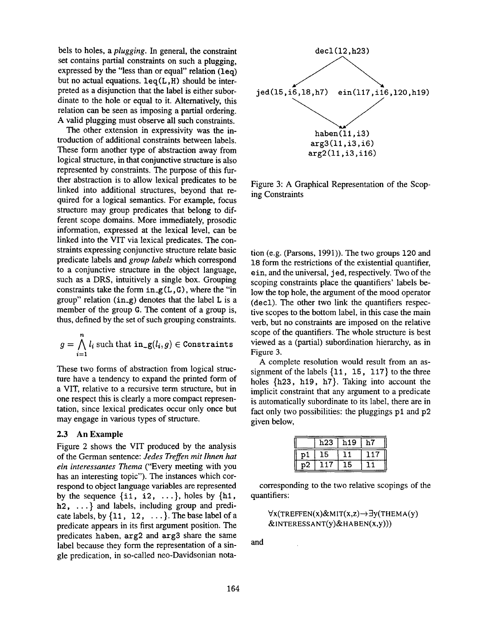bels to holes, a *plugging.* In general, the constraint set contains partial constraints on such a plugging, expressed by the "less than or equal" relation  $(1eg)$ but no actual equations,  $leq(L, H)$  should be interpreted as a disjunction that the label is either subordinate to the hole or equal to it. Alternatively, this relation can be seen as imposing a partial ordering. A valid plugging must observe all such constraints.

The other extension in expressivity was the introduction of additional constraints between labels. These form another type of abstraction away from logical structure, in that conjunctive structure is also represented by constraints. The purpose of this further abstraction is to allow lexical predicates to be linked into additional structures, beyond that required for a logical semantics. For example, focus structure may group predicates that belong to different scope domains. More immediately, prosodic information, expressed at the lexical level, can be linked into the VIT via lexical predicates. The constraints expressing conjunctive structure relate basic predicate labels and *group labels* which correspond to a conjunctive structure in the object language, such as a DRS, intuitively a single box. Grouping constraints take the form  $in_g(L, G)$ , where the "in group" relation  $(in_g)$  denotes that the label L is a member of the group G. The content of a group is, thus, defined by the set of such grouping constraints.

$$
g = \bigwedge_{i=1}^{n} l_i
$$
 such that  $\text{in}_{\mathcal{L}}g(l_i, g) \in \text{Constraints}$ 

These two forms of abstraction from logical structure have a tendency to expand the printed form of a VIT, relative to a recursive term structure, but in one respect this is clearly a more compact representation, since lexical predicates occur only once but may engage in various types of structure.

#### **2.3 An Example**

Figure 2 shows the VIT produced by the analysis of the German sentence: *Jedes Treffen mit lhnen hat ein interessantes Thema* ("Every meeting with you has an interesting topic"). The instances which correspond to object language variables are represented by the sequence  $\{i1, i2, \ldots\}$ , holes by  $\{h1, h$ h2, ...} and labels, including group and predicate labels, by  $\{11, 12, \ldots\}$ . The base label of a predicate appears in its first argument position. The predicates haben, arg2 and arg3 share the same label because they form the representation of a single predication, in so-called neo-Davidsonian nota-



Figure 3: A Graphical Representation of the Scoping Constraints

tion (e.g. (Parsons, 1991)). The two groups 120 and 18 form the restrictions of the existential quantifier, ein, and the universal, j ed, respectively. Two of the scoping constraints place the quantifiers' labels below the top hole, the argument of the mood operator (decl). The other two link the quantifiers respective scopes to the bottom label, in this case the main verb, but no constraints are imposed on the relative scope of the quantifiers. The whole structure is best viewed as a (partial) subordination hierarchy, as in Figure 3.

A complete resolution would result from an assignment of the labels {11, 15, 117} to the three holes  $\{h23, h19, h7\}$ . Taking into account the implicit constraint that any argument to a predicate is automatically subordinate to its label, there are in fact only two possibilities: the pluggings pl and p2 given below,

|     | h23. | h <sub>19</sub> | h7 |
|-----|------|-----------------|----|
| D l | LЬ   |                 |    |
| p2  |      | LЬ              |    |

corresponding to the two relative scopings of the quantifiers:

$$
\forall x (TREFEN(x)\& MIT(x,z) \rightarrow \exists y (THEMA(y))
$$
  
 
$$
\& INTERESSANT(y)\& HABEN(x,y)))
$$

and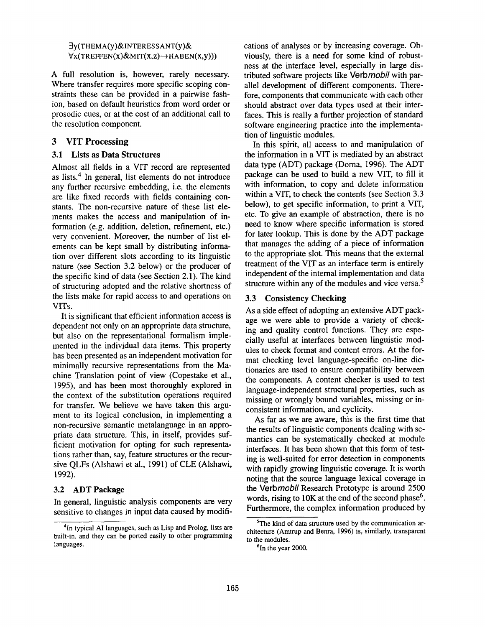3y(THEMA(y)&INTERES SANT(y)&  $\forall x (TREFEN(x)\& MIT(x,z) \rightarrow HABEN(x,y)))$ 

A full resolution is, however, rarely necessary. Where transfer requires more specific scoping constraints these can be provided in a pairwise fashion, based on default heuristics from word order or prosodic cues, or at the cost of an additional call to the resolution component.

### **3 VIT Processing**

#### **3.1 Lists as Data Structures**

Almost all fields in a VIT record are represented as lists.<sup>4</sup> In general, list elements do not introduce any further recursive embedding, i.e. the elements are like fixed records with fields containing constants. The non-recursive nature of these list elements makes the access and manipulation of information (e.g. addition, deletion, refinement, etc.) very convenient. Moreover, the number of list elements can be kept small by distributing information over different slots according to its linguistic nature (see Section 3.2 below) or the producer of the specific kind of data (see Section 2.1). The kind of structuring adopted and the relative shortness of the lists make for rapid access to and operations on VITs.

It is significant that efficient information access is dependent not only on an appropriate data structure, but also on the representational formalism implemented in the individual data items. This property has been presented as an independent motivation for minimally recursive representations from the Machine Translation point of view (Copestake et al., 1995), and has been most thoroughly explored in the context of the substitution operations required for transfer. We believe we have taken this argument to its logical conclusion, in implementing a non-recursive semantic metalanguage in an appropriate data structure. This, in itself, provides sufficient motivation for opting for such representations rather than, say, feature structures or the recursive QLFs (Alshawi et al., 1991) of CLE (Alshawi, 1992).

### 3.2 ADT Package

In general, linguistic analysis components are very sensitive to changes in input data caused by modifi-

cations of analyses or by increasing coverage. Obviously, there is a need for some kind of robustness at the interface level, especially in large distributed software projects like *Verbmobil* with parallel development of different components. Therefore, components that communicate with each other should abstract over data types used at their interfaces. This is really a further projection of standard software engineering practice into the implementation of linguistic modules.

In this spirit, all access to and manipulation of the information in a VIT is mediated by an abstract data type (ADT) package (Doma, 1996). The ADT package can be used to build a new VIT, to fill it with information, to copy and delete information within a VIT, to check the contents (see Section 3.3 below), to get specific information, to print a VIT, etc. To give an example of abstraction, there is no need to know where specific information is stored for later lookup. This is done by the ADT package that manages the adding of a piece of information to the appropriate slot. This means that the external treatment of the VIT as an interface term is entirely independent of the internal implementation and data structure within any of the modules and vice versa.<sup>5</sup>

#### 3.3 Consistency Checking

As a side effect of adopting an extensive ADT package we were able to provide a variety of checking and quality control functions. They are especially useful at interfaces between linguistic modules to check format and content errors. At the format checking level language-specific on-line dictionaries are used to ensure compatibility between the components. A content checker is used to test language-independent structural properties, such as missing or wrongly bound variables, missing or inconsistent information, and cyclicity.

As far as we are aware, this is the first time that the results of linguistic components dealing with semantics can be systematically checked at module interfaces. It has been shown that this form of testing is well-suited for error detection in components with rapidly growing linguistic coverage. It is worth noting that the source language lexical coverage in the *Verbmobil* Research Prototype is around 2500 words, rising to  $10K$  at the end of the second phase<sup>6</sup>. Furthermore, the complex information produced by

<sup>&</sup>lt;sup>4</sup>In typical AI languages, such as Lisp and Prolog, lists are built-in, and they can be ported easily to other programming languages.

 $5$ The kind of data structure used by the communication architecture (Amtrup and Benra, 1996) is, similarly, transparent to the modules.

 $6$ In the year 2000.